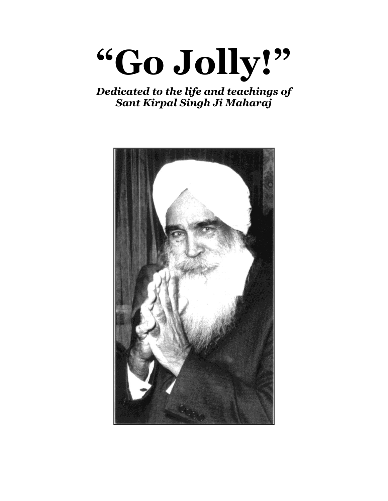

## *Dedicated to the life and teachings of Sant Kirpal Singh Ji Maharaj*

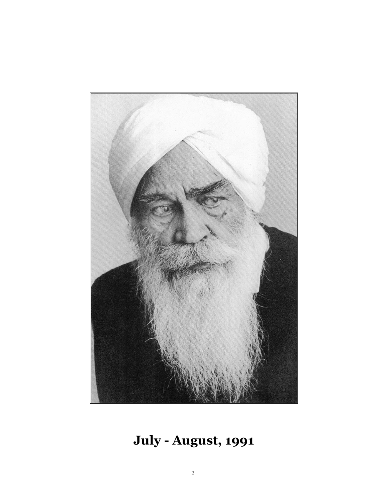

# **July - August, 1991**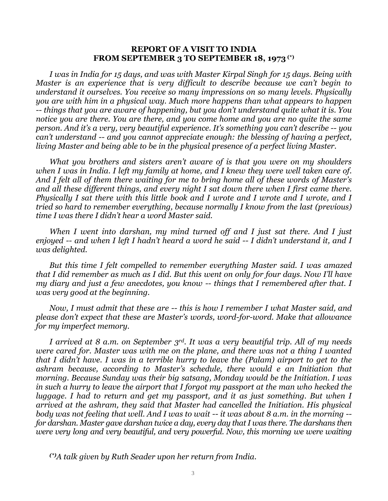#### **REPORT OF A VISIT TO INDIA FROM SEPTEMBER 3 TO SEPTEMBER 18, 1973 (\*)**

*I was in India for 15 days, and was with Master Kirpal Singh for 15 days. Being with Master is an experience that is very difficult to describe because we can't begin to understand it ourselves. You receive so many impressions on so many levels. Physically you are with him in a physical way. Much more happens than what appears to happen -- things that you are aware of happening, but you don't understand quite what it is. You notice you are there. You are there, and you come home and you are no quite the same person. And it's a very, very beautiful experience. It's something you can't describe -- you can't understand -- and you cannot appreciate enough: the blessing of having a perfect, living Master and being able to be in the physical presence of a perfect living Master.*

*What you brothers and sisters aren't aware of is that you were on my shoulders when I was in India. I left my family at home, and I knew they were well taken care of. And I felt all of them there waiting for me to bring home all of these words of Master's and all these different things, and every night I sat down there when I first came there. Physically I sat there with this little book and I wrote and I wrote and I wrote, and I tried so hard to remember everything, because normally I know from the last (previous) time I was there I didn't hear a word Master said.*

*When I went into darshan, my mind turned off and I just sat there. And I just enjoyed -- and when I left I hadn't heard a word he said -- I didn't understand it, and I was delighted.*

*But this time I felt compelled to remember everything Master said. I was amazed that I did remember as much as I did. But this went on only for four days. Now I'll have my diary and just a few anecdotes, you know -- things that I remembered after that. I was very good at the beginning.*

*Now, I must admit that these are -- this is how I remember I what Master said, and please don't expect that these are Master's words, word-for-word. Make that allowance for my imperfect memory.*

*I arrived at 8 a.m. on September 3rd. It was a very beautiful trip. All of my needs were cared for. Master was with me on the plane, and there was not a thing I wanted that I didn't have. I was in a terrible hurry to leave the (Palam) airport to get to the ashram because, according to Master's schedule, there would e an Initiation that morning. Because Sunday was their big satsang, Monday would be the Initiation. I was in such a hurry to leave the airport that I forgot my passport at the man who hecked the luggage. I had to return and get my passport, and it as just something. But when I arrived at the ashram, they said that Master had cancelled the Initiation. His physical body was not feeling that well. And I was to wait -- it was about 8 a.m. in the morning - for darshan. Master gave darshan twice a day, every day that I was there. The darshans then were very long and very beautiful, and very powerful. Now, this morning we were waiting*

*(\*)A talk given by Ruth Seader upon her return from India.*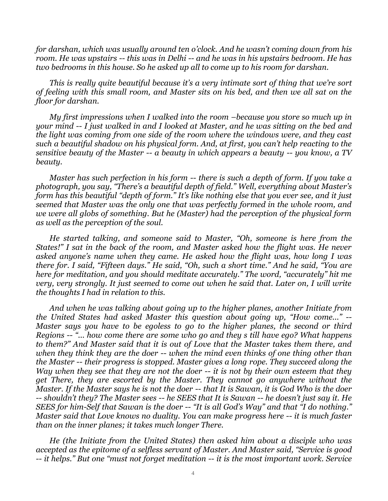*for darshan, which was usually around ten o'clock. And he wasn't coming down from his room. He was upstairs -- this was in Delhi -- and he was in his upstairs bedroom. He has two bedrooms in this house. So he asked up all to come up to his room for darshan.*

*This is really quite beautiful because it's a very intimate sort of thing that we're sort of feeling with this small room, and Master sits on his bed, and then we all sat on the floor for darshan.*

*My first impressions when I walked into the room –because you store so much up in your mind -- I just walked in and I looked at Master, and he was sitting on the bed and the light was coming from one side of the room where the windows were, and they cast such a beautiful shadow on his physical form. And, at first, you can't help reacting to the sensitive beauty of the Master -- a beauty in which appears a beauty -- you know, a TV beauty.*

*Master has such perfection in his form -- there is such a depth of form. If you take a photograph, you say, "There's a beautiful depth of field." Well, everything about Master's form has this beautiful "depth of form." It's like nothing else that you ever see, and it just seemed that Master was the only one that was perfectly formed in the whole room, and we were all globs of something. But he (Master) had the perception of the physical form as well as the perception of the soul.*

*He started talking, and someone said to Master, "Oh, someone is here from the States!" I sat in the back of the room, and Master asked how the flight was. He never asked anyone's name when they came. He asked how the flight was, how long I was there for. I said, "Fifteen days." He said, "Oh, such a short time." And he said, "You are here for meditation, and you should meditate accurately." The word, "accurately" hit me very, very strongly. It just seemed to come out when he said that. Later on, I will write the thoughts I had in relation to this.*

*And when he was talking about going up to the higher planes, another Initiate from the United States had asked Master this question about going up, "How come..." -- Master says you have to be egoless to go to the higher planes, the second or third Regions -- "... how come there are some who go and they s till have ego? What happens to them?" And Master said that it is out of Love that the Master takes them there, and when they think they are the doer -- when the mind even thinks of one thing other than the Master -- their progress is stopped. Master gives a long rope. They succeed along the Way when they see that they are not the doer -- it is not by their own esteem that they get There, they are escorted by the Master. They cannot go anywhere without the Master. If the Master says he is not the doer -- that It is Sawan, it is God Who is the doer -- shouldn't they? The Master sees -- he SEES that It is Sawan -- he doesn't just say it. He SEES for him-Self that Sawan is the doer -- "It is all God's Way" and that "I do nothing." Master said that Love knows no duality. You can make progress here -- it is much faster than on the inner planes; it takes much longer There.*

*He (the Initiate from the United States) then asked him about a disciple who was accepted as the epitome of a selfless servant of Master. And Master said, "Service is good -- it helps." But one "must not forget meditation -- it is the most important work. Service*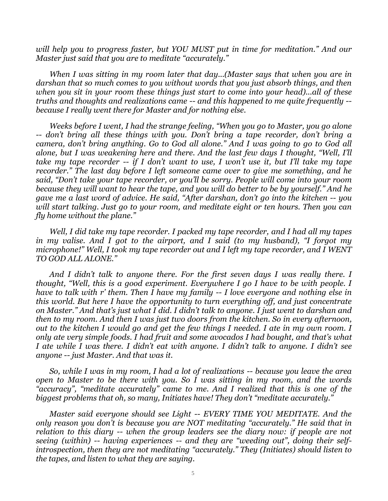*will help you to progress faster, but YOU MUST put in time for meditation." And our Master just said that you are to meditate "accurately."*

*When I was sitting in my room later that day...(Master says that when you are in darshan that so much comes to you without words that you just absorb things, and then when you sit in your room these things just start to come into your head)...all of these truths and thoughts and realizations came -- and this happened to me quite frequently - because I really went there for Master and for nothing else.*

*Weeks before I went, I had the strange feeling, "When you go to Master, you go alone -- don't bring all these things with you. Don't bring a tape recorder, don't bring a camera, don't bring anything. Go to God all alone." And I was going to go to God all alone, but I was weakening here and there. And the last few days I thought, "Well, I'll take my tape recorder -- if I don't want to use, I won't use it, but I'll take my tape recorder." The last day before I left someone came over to give me something, and he said, "Don't take your tape recorder, or you'll be sorry. People will come into your room because they will want to hear the tape, and you will do better to be by yourself." And he gave me a last word of advice. He said, "After darshan, don't go into the kitchen -- you will start talking. Just go to your room, and meditate eight or ten hours. Then you can fly home without the plane."*

*Well, I did take my tape recorder. I packed my tape recorder, and I had all my tapes in my valise. And I got to the airport, and I said (to my husband), "I forgot my microphone!" Well, I took my tape recorder out and I left my tape recorder, and I WENT TO GOD ALL ALONE."*

*And I didn't talk to anyone there. For the first seven days I was really there. I thought, "Well, this is a good experiment. Everywhere I go I have to be with people. I have to talk with r' them. Then I have my family -- I love everyone and nothing else in this world. But here I have the opportunity to turn everything off, and just concentrate on Master." And that's just what I did. I didn't talk to anyone. I just went to darshan and then to my room. And then I was just two doors from the kitchen. So in every afternoon, out to the kitchen I would go and get the few things I needed. I ate in my own room. I only ate very simple foods. I had fruit and some avocados I had bought, and that's what I ate while I was there. I didn't eat with anyone. I didn't talk to anyone. I didn't see anyone -- just Master. And that was it.*

*So, while I was in my room, I had a lot of realizations -- because you leave the area open to Master to be there with you. So I was sitting in my room, and the words "accuracy", "meditate accurately" came to me. And I realized that this is one of the biggest problems that oh, so many, Initiates have! They don't "meditate accurately."*

*Master said everyone should see Light -- EVERY TIME YOU MEDITATE. And the only reason you don't is because you are NOT meditating "accurately." He said that in relation to this diary -- when the group leaders see the diary now: if people are not seeing (within) -- having experiences -- and they are "weeding out", doing their selfintrospection, then they are not meditating "accurately." They (Initiates) should listen to the tapes, and listen to what they are saying.*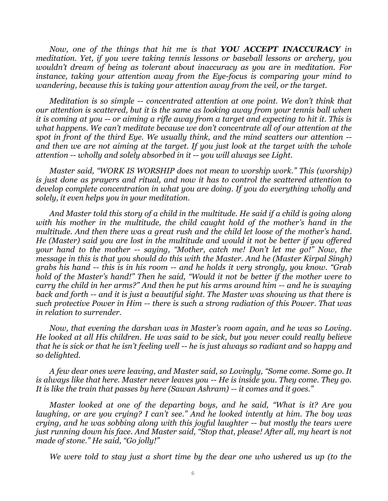*Now, one of the things that hit me is that YOU ACCEPT INACCURACY in meditation. Yet, if you were taking tennis lessons or baseball lessons or archery, you wouldn't dream of being as tolerant about inaccuracy as you are in meditation. For instance, taking your attention away from the Eye-focus is comparing your mind to wandering, because this is taking your attention away from the veil, or the target.*

*Meditation is so simple -- concentrated attention at one point. We don't think that our attention is scattered, but it is the same as looking away from your tennis ball when it is coming at you -- or aiming a rifle away from a target and expecting to hit it. This is what happens. We can't meditate because we don't concentrate all of our attention at the spot in front of the third Eye. We usually think, and the mind scatters our attention - and then we are not aiming at the target. If you just look at the target with the whole attention -- wholly and solely absorbed in it -- you will always see Light.*

*Master said, "WORK IS WORSHIP does not mean to worship work." This (worship) is just done as prayers and ritual, and now it has to control the scattered attention to develop complete concentration in what you are doing. If you do everything wholly and solely, it even helps you in your meditation.*

*And Master told this story of a child in the multitude. He said if a child is going along with his mother in the multitude, the child caught hold of the mother's hand in the multitude. And then there was a great rush and the child let loose of the mother's hand. He (Master) said you are lost in the multitude and would it not be better if you offered your hand to the mother -- saying, "Mother, catch me! Don't let me go!" Now, the message in this is that you should do this with the Master. And he (Master Kirpal Singh) grabs his hand -- this is in his room -- and he holds it very strongly, you know. "Grab hold of the Master's hand!" Then he said, "Would it not be better if the mother were to carry the child in her arms?" And then he put his arms around him -- and he is swaying back and forth -- and it is just a beautiful sight. The Master was showing us that there is such protective Power in Him -- there is such a strong radiation of this Power. That was in relation to surrender.*

*Now, that evening the darshan was in Master's room again, and he was so Loving. He looked at all His children. He was said to be sick, but you never could really believe that he is sick or that he isn't feeling well -- he is just always so radiant and so happy and so delighted.*

*A few dear ones were leaving, and Master said, so Lovingly, "Some come. Some go. It is always like that here. Master never leaves you -- He is inside you. They come. They go. It is like the train that passes by here (Sawan Ashram) -- it comes and it goes."*

*Master looked at one of the departing boys, and he said, "What is it? Are you laughing, or are you crying? I can't see." And he looked intently at him. The boy was crying, and he was sobbing along with this joyful laughter -- but mostly the tears were just running down his face. And Master said, "Stop that, please! After all, my heart is not made of stone." He said, "Go jolly!"*

*We were told to stay just a short time by the dear one who ushered us up (to the*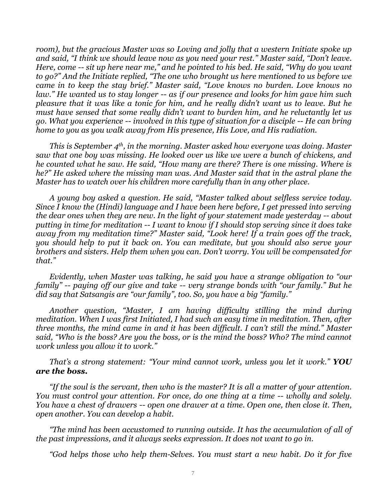*room), but the gracious Master was so Loving and jolly that a western Initiate spoke up and said, "I think we should leave now as you need your rest." Master said, "Don't leave. Here, come -- sit up here near me," and he pointed to his bed. He said, "Why do you want to go?" And the Initiate replied, "The one who brought us here mentioned to us before we came in to keep the stay brief." Master said, "Love knows no burden. Love knows no law." He wanted us to stay longer -- as if our presence and looks for him gave him such pleasure that it was like a tonic for him, and he really didn't want us to leave. But he must have sensed that some really didn't want to burden him, and he reluctantly let us go. What you experience -- involved in this type of situation for a disciple -- He can bring home to you as you walk away from His presence, His Love, and His radiation.*

*This is September 4th, in the morning. Master asked how everyone was doing. Master saw that one boy was missing. He looked over us like we were a bunch of chickens, and he counted what he saw. He said, "How many are there? There is one missing. Where is he?" He asked where the missing man was. And Master said that in the astral plane the Master has to watch over his children more carefully than in any other place.*

*A young boy asked a question. He said, "Master talked about selfless service today. Since I know the (Hindi) language and I have been here before, I get pressed into serving the dear ones when they are new. In the light of your statement made yesterday -- about putting in time for meditation -- I want to know if I should stop serving since it does take away from my meditation time?" Master said, "Look here! If a train goes off the track, you should help to put it back on. You can meditate, but you should also serve your brothers and sisters. Help them when you can. Don't worry. You will be compensated for that."*

*Evidently, when Master was talking, he said you have a strange obligation to "our family" -- paying off our give and take -- very strange bonds with "our family." But he did say that Satsangis are "our family", too. So, you have a big "family."*

*Another question, "Master, I am having difficulty stilling the mind during meditation. When I was first Initiated, I had such an easy time in meditation. Then, after three months, the mind came in and it has been difficult. I can't still the mind." Master said, "Who is the boss? Are you the boss, or is the mind the boss? Who? The mind cannot work unless you allow it to work."*

#### *That's a strong statement: "Your mind cannot work, unless you let it work." YOU are the boss.*

*"If the soul is the servant, then who is the master? It is all a matter of your attention. You must control your attention. For once, do one thing at a time -- wholly and solely. You have a chest of drawers -- open one drawer at a time. Open one, then close it. Then, open another. You can develop a habit.*

*"The mind has been accustomed to running outside. It has the accumulation of all of the past impressions, and it always seeks expression. It does not want to go in.*

*"God helps those who help them-Selves. You must start a new habit. Do it for five*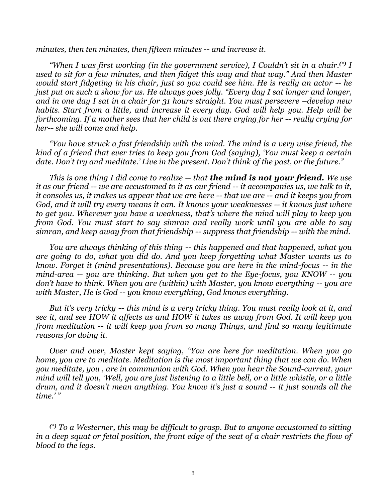*minutes, then ten minutes, then fifteen minutes -- and increase it.*

*"When I was first working (in the government service), I Couldn't sit in a chair.(\*) I used to sit for a few minutes, and then fidget this way and that way." And then Master would start fidgeting in his chair, just so you could see him. He is really an actor -- he just put on such a show for us. He always goes jolly. "Every day I sat longer and longer, and in one day I sat in a chair for 31 hours straight. You must persevere*  $-\text{develop new}$ *habits. Start from a little, and increase it every day. God will help you. Help will be forthcoming. If a mother sees that her child is out there crying for her -- really crying for her-- she will come and help.*

*"You have struck a fast friendship with the mind. The mind is a very wise friend, the kind of a friend that ever tries to keep you from God (saying), 'You must keep a certain date. Don't try and meditate.' Live in the present. Don't think of the past, or the future."*

*This is one thing I did come to realize -- that the mind is not your friend. We use it as our friend -- we are accustomed to it as our friend -- it accompanies us, we talk to it, it consoles us, it makes us appear that we are here -- that we are -- and it keeps you from God, and it will try every means it can. It knows your weaknesses -- it knows just where to get you. Wherever you have a weakness, that's where the mind will play to keep you from God. You must start to say simran and really work until you are able to say simran, and keep away from that friendship -- suppress that friendship -- with the mind.*

*You are always thinking of this thing -- this happened and that happened, what you are going to do, what you did do. And you keep forgetting what Master wants us to know. Forget it (mind presentations). Because you are here in the mind-focus -- in the mind-area -- you are thinking. But when you get to the Eye-focus, you KNOW -- you don't have to think. When you are (within) with Master, you know everything -- you are with Master, He is God -- you know everything, God knows everything.*

*But it's very tricky -- this mind is a very tricky thing. You must really look at it, and see it, and see HOW it affects us and HOW it takes us away from God. It will keep you from meditation -- it will keep you from so many Things, and find so many legitimate reasons for doing it.*

*Over and over, Master kept saying, "You are here for meditation. When you go home, you are to meditate. Meditation is the most important thing that we can do. When you meditate, you , are in communion with God. When you hear the Sound-current, your mind will tell you, 'Well, you are just listening to a little bell, or a little whistle, or a little drum, and it doesn't mean anything. You know it's just a sound -- it just sounds all the time.' "*

*(\*) To a Westerner, this may be difficult to grasp. But to anyone accustomed to sitting in a deep squat or fetal position, the front edge of the seat of a chair restricts the flow of blood to the legs.*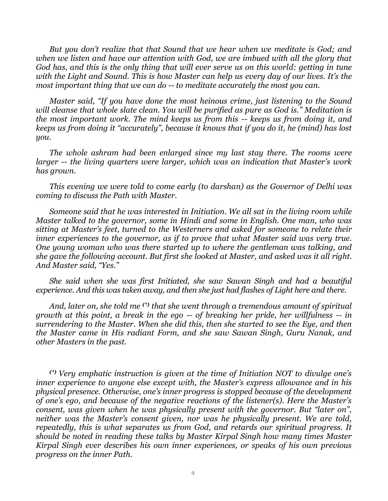*But you don't realize that that Sound that we hear when we meditate is God; and when we listen and have our attention with God, we are imbued with all the glory that God has, and this is the only thing that will ever serve us on this world: getting in tune with the Light and Sound. This is how Master can help us every day of our lives. It's the most important thing that we can do -- to meditate accurately the most you can.*

*Master said, "If you have done the most heinous crime, just listening to the Sound will cleanse that whole slate clean. You will be purified as pure as God is." Meditation is the most important work. The mind keeps us from this -- keeps us from doing it, and keeps us from doing it "accurately", because it knows that if you do it, he (mind) has lost you.*

*The whole ashram had been enlarged since my last stay there. The rooms were larger -- the living quarters were larger, which was an indication that Master's work has grown.*

*This evening we were told to come early (to darshan) as the Governor of Delhi was coming to discuss the Path with Master.*

*Someone said that he was interested in Initiation. We all sat in the living room while Master talked to the governor, some in Hindi and some in English. One man, who was sitting at Master's feet, turned to the Westerners and asked for someone to relate their inner experiences to the governor, as if to prove that what Master said was very true. One young woman who was there started up to where the gentleman was talking, and she gave the following account. But first she looked at Master, and asked was it all right. And Master said, "Yes."*

*She said when she was first Initiated, she saw Sawan Singh and had a beautiful experience. And this was taken away, and then she just had flashes of Light here and there.*

*And, later on, she told me (\*) that she went through a tremendous amount of spiritual growth at this point, a break in the ego -- of breaking her pride, her willfulness -- in surrendering to the Master. When she did this, then she started to see the Eye, and then the Master came in His radiant Form, and she saw Sawan Singh, Guru Nanak, and other Masters in the past.* 

*(\*) Very emphatic instruction is given at the time of Initiation NOT to divulge one's inner experience to anyone else except with, the Master's express allowance and in his physical presence. Otherwise, one's inner progress is stopped because of the development of one's ego, and because of the negative reactions of the listener(s). Here the Master's consent, was given when he was physically present with the governor. But "later on", neither was the Master's consent given, nor was he physically present. We are told, repeatedly, this is what separates us from God, and retards our spiritual progress. It should be noted in reading these talks by Master Kirpal Singh how many times Master Kirpal Singh ever describes his own inner experiences, or speaks of his own previous progress on the inner Path.*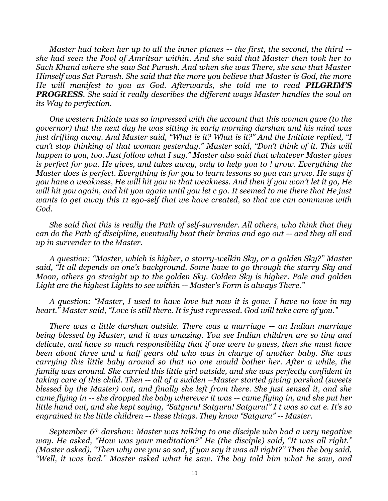*Master had taken her up to all the inner planes -- the first, the second, the third - she had seen the Pool of Amritsar within. And she said that Master then took her to Sach Khand where she saw Sat Purush. And when she was There, she saw that Master Himself was Sat Purush. She said that the more you believe that Master is God, the more He will manifest to you as God. Afterwards, she told me to read PILGRIM'S PROGRESS. She said it really describes the different ways Master handles the soul on its Way to perfection.*

*One western Initiate was so impressed with the account that this woman gave (to the governor) that the next day he was sitting in early morning darshan and his mind was just drifting away. And Master said, "What is it? What is it?" And the Initiate replied, "I can't stop thinking of that woman yesterday." Master said, "Don't think of it. This will happen to you, too. Just follow what I say." Master also said that whatever Master gives is perfect for you. He gives, and takes away, only to help you to ! grow. Everything the Master does is perfect. Everything is for you to learn lessons so you can grow. He says if you have a weakness, He will hit you in that weakness. And then if you won't let it go, He will hit you again, and hit you again until you let c go. It seemed to me there that He just wants to get away this 11 ego-self that we have created, so that we can commune with God.*

*She said that this is really the Path of self-surrender. All others, who think that they can do the Path of discipline, eventually beat their brains and ego out -- and they all end up in surrender to the Master.*

*A question: "Master, which is higher, a starry-welkin Sky, or a golden Sky?" Master said, "It all depends on one's background. Some have to go through the starry Sky and Moon, others go straight up to the golden Sky. Golden Sky is higher. Pale and golden Light are the highest Lights to see within -- Master's Form is always There."*

*A question: "Master, I used to have love but now it is gone. I have no love in my heart." Master said, "Love is still there. It is just repressed. God will take care of you."*

*There was a little darshan outside. There was a marriage -- an Indian marriage being blessed by Master, and it was amazing. You see Indian children are so tiny and delicate, and have so much responsibility that if one were to guess, then she must have been about three and a half years old who was in charge of another baby. She was carrying this little baby around so that no one would bother her. After a while, the family was around. She carried this little girl outside, and she was perfectly confident in taking care of this child. Then -- all of a sudden –Master started giving parshad (sweets blessed by the Master) out, and finally she left from there. She just sensed it, and she came flying in -- she dropped the baby wherever it was -- came flying in, and she put her little hand out, and she kept saying, "Satguru! Satguru! Satguru!" I t was so cut e. It's so engrained in the little children -- these things. They know "Satguru" -- Master.*

*September 6th darshan: Master was talking to one disciple who had a very negative way. He asked, "How was your meditation?" He (the disciple) said, "It was all right." (Master asked), "Then why are you so sad, if you say it was all right?" Then the boy said, "Well, it was bad." Master asked what he saw. The boy told him what he saw, and*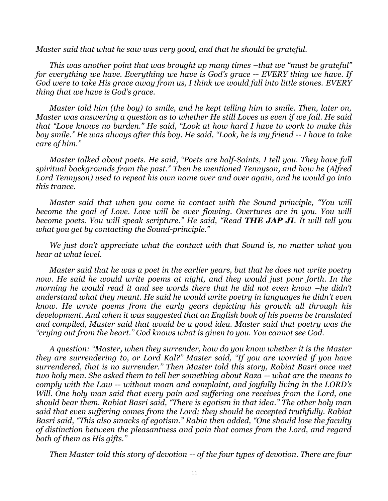*Master said that what he saw was very good, and that he should be grateful.*

*This was another point that was brought up many times –that we "must be grateful" for everything we have. Everything we have is God's grace -- EVERY thing we have. If God were to take His grace away from us, I think we would fall into little stones. EVERY thing that we have is God's grace.* 

*Master told him (the boy) to smile, and he kept telling him to smile. Then, later on, Master was answering a question as to whether He still Loves us even if we fail. He said that "Love knows no burden." He said, "Look at how hard I have to work to make this boy smile." He was always after this boy. He said, "Look, he is my friend -- I have to take care of him."*

*Master talked about poets. He said, "Poets are half-Saints, I tell you. They have full spiritual backgrounds from the past." Then he mentioned Tennyson, and how he (Alfred Lord Tennyson) used to repeat his own name over and over again, and he would go into this trance.*

*Master said that when you come in contact with the Sound principle, "You will become the goal of Love. Love will be over flowing. Overtures are in you. You will become poets. You will speak scripture." He said, "Read THE JAP JI. It will tell you what you get by contacting the Sound-principle."*

*We just don't appreciate what the contact with that Sound is, no matter what you hear at what level.*

*Master said that he was a poet in the earlier years, but that he does not write poetry*  now. He said he would write poems at night, and they would just pour forth. In the *morning he would read it and see words there that he did not even know –he didn't understand what they meant. He said he would write poetry in languages he didn't even know. He wrote poems from the early years depicting his growth all through his development. And when it was suggested that an English book of his poems be translated and compiled, Master said that would be a good idea. Master said that poetry was the "crying out from the heart." God knows what is given to you. You cannot see God.*

*A question: "Master, when they surrender, how do you know whether it is the Master they are surrendering to, or Lord Kal?" Master said, "If you are worried if you have surrendered, that is no surrender." Then Master told this story, Rabiat Basri once met two holy men. She asked them to tell her something about Raza -- what are the means to comply with the Law -- without moan and complaint, and joyfully living in the LORD's Will. One holy man said that every pain and suffering one receives from the Lord, one should bear them. Rabiat Basri said, "There is egotism in that idea." The other holy man said that even suffering comes from the Lord; they should be accepted truthfully. Rabiat Basri said, "This also smacks of egotism." Rabia then added, "One should lose the faculty of distinction between the pleasantness and pain that comes from the Lord, and regard both of them as His gifts."*

*Then Master told this story of devotion -- of the four types of devotion. There are four*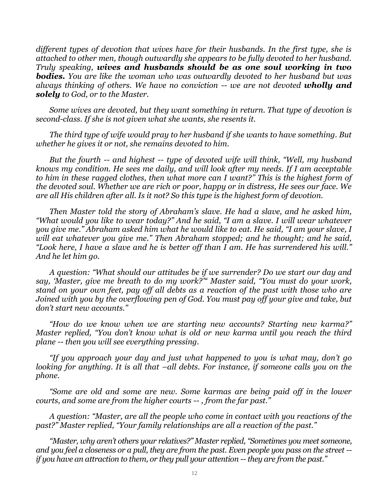*different types of devotion that wives have for their husbands. In the first type, she is attached to other men, though outwardly she appears to be fully devoted to her husband. Truly speaking, wives and husbands should be as one soul working in two bodies. You are like the woman who was outwardly devoted to her husband but was always thinking of others. We have no conviction -- we are not devoted wholly and solely to God, or to the Master.*

*Some wives are devoted, but they want something in return. That type of devotion is second-class. If she is not given what she wants, she resents it.* 

*The third type of wife would pray to her husband if she wants to have something. But whether he gives it or not, she remains devoted to him.*

*But the fourth -- and highest -- type of devoted wife will think, "Well, my husband knows my condition. He sees me daily, and will look after my needs. If I am acceptable to him in these ragged clothes, then what more can I want?" This is the highest form of the devoted soul. Whether we are rich or poor, happy or in distress, He sees our face. We are all His children after all. Is it not? So this type is the highest form of devotion.*

*Then Master told the story of Abraham's slave. He had a slave, and he asked him, "What would you like to wear today?" And he said, "I am a slave. I will wear whatever you give me." Abraham asked him what he would like to eat. He said, "I am your slave, I will eat whatever you give me." Then Abraham stopped; and he thought; and he said, "Look here, I have a slave and he is better off than I am. He has surrendered his will." And he let him go.*

*A question: "What should our attitudes be if we surrender? Do we start our day and say, 'Master, give me breath to do my work?'" Master said, "You must do your work, stand on your own feet, pay off all debts as a reaction of the past with those who are Joined with you by the overflowing pen of God. You must pay off your give and take, but don't start new accounts."*

*"How do we know when we are starting new accounts? Starting new karma?" Master replied, "You don't know what is old or new karma until you reach the third plane -- then you will see everything pressing.*

*"If you approach your day and just what happened to you is what may, don't go looking for anything. It is all that –all debts. For instance, if someone calls you on the phone.*

*"Some are old and some are new. Some karmas are being paid off in the lower courts, and some are from the higher courts -- , from the far past."*

*A question: "Master, are all the people who come in contact with you reactions of the past?" Master replied, "Your family relationships are all a reaction of the past."*

*"Master, why aren't others your relatives?" Master replied, "Sometimes you meet someone, and you feel a closeness or a pull, they are from the past. Even people you pass on the street - if you have an attraction to them, or they pull your attention -- they are from the past."*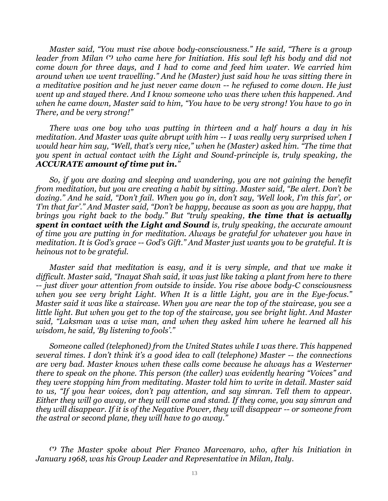*Master said, "You must rise above body-consciousness." He said, "There is a group leader from Milan (\*) who came here for Initiation. His soul left his body and did not come down for three days, and I had to come and feed him water. We carried him around when we went travelling." And he (Master) just said how he was sitting there in a meditative position and he just never came down -- he refused to come down. He just went up and stayed there. And I know someone who was there when this happened. And when he came down, Master said to him, "You have to be very strong! You have to go in There, and be very strong!"*

*There was one boy who was putting in thirteen and a half hours a day in his meditation. And Master was quite abrupt with him -- I was really very surprised when I would hear him say, "Well, that's very nice," when he (Master) asked him. "The time that you spent in actual contact with the Light and Sound-principle is, truly speaking, the ACCURATE amount of time put in."*

*So, if you are dozing and sleeping and wandering, you are not gaining the benefit from meditation, but you are creating a habit by sitting. Master said, "Be alert. Don't be dozing." And he said, "Don't fail. When you go in, don't say, 'Well look, I'm this far', or 'I'm that far'." And Master said, "Don't be happy, because as soon as you are happy, that brings you right back to the body." But "truly speaking, the time that is actually spent in contact with the Light and Sound is, truly speaking, the accurate amount of time you are putting in for meditation. Always be grateful for whatever you have in meditation. It is God's grace -- God's Gift." And Master just wants you to be grateful. It is heinous not to be grateful.*

*Master said that meditation is easy, and it is very simple, and that we make it difficult. Master said, "Inayat Shah said, it was just like taking a plant from here to there -- just diver your attention from outside to inside. You rise above body-C consciousness when you see very bright Light. When It is a little Light, you are in the Eye-focus." Master said it was like a staircase. When you are near the top of the staircase, you see a little light. But when you get to the top of the staircase, you see bright light. And Master said, "Laksman was a wise man, and when they asked him where he learned all his wisdom, he said, 'By listening to fools'."*

*Someone called (telephoned) from the United States while I was there. This happened several times. I don't think it's a good idea to call (telephone) Master -- the connections are very bad. Master knows when these calls come because he always has a Westerner there to speak on the phone. This person (the caller) was evidently hearing "Voices" and they were stopping him from meditating. Master told him to write in detail. Master said to us, "If you hear voices, don't pay attention, and say simran. Tell them to appear. Either they will go away, or they will come and stand. If they come, you say simran and they will disappear. If it is of the Negative Power, they will disappear -- or someone from the astral or second plane, they will have to go away."*

*(\*) The Master spoke about Pier Franco Marcenaro, who, after his Initiation in January 1968, was his Group Leader and Representative in Milan, Italy.*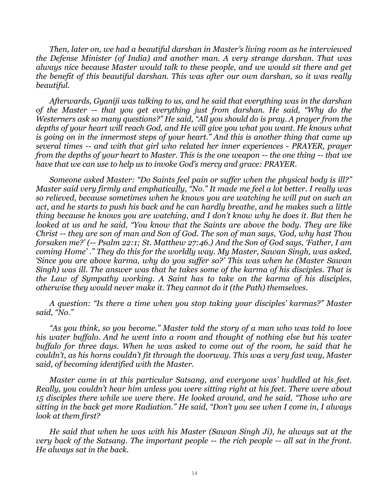*Then, later on, we had a beautiful darshan in Master's living room as he interviewed the Defense Minister (of India) and another man. A very strange darshan. That was always nice because Master would talk to these people, and we would sit there and get the benefit of this beautiful darshan. This was after our own darshan, so it was really beautiful.*

*Afterwards, Gyaniji was talking to us, and he said that everything was in the darshan of the Master -- that you get everything just from darshan. He said, "Why do the Westerners ask so many questions?" He said, "All you should do is pray. A prayer from the depths of your heart will reach God, and He will give you what you want. He knows what is going on in the innermost steps of your heart." And this is another thing that came up several times -- and with that girl who related her inner experiences - PRAYER, prayer from the depths of your heart to Master. This is the one weapon -- the one thing -- that we have that we can use to help us to invoke God's mercy and grace: PRAYER.*

*Someone asked Master: "Do Saints feel pain or suffer when the physical body is ill?" Master said very firmly and emphatically, "No." It made me feel a lot better. I really was so relieved, because sometimes when he knows you are watching he will put on such an act, and he starts to push his back and he can hardly breathe, and he makes such a little thing because he knows you are watching, and I don't know why he does it. But then he looked at us and he said, "You know that the Saints are above the body. They are like Christ -- they are son of man and Son of God. The son of man says, 'God, why hast Thou forsaken me?' (-- Psalm 22:1; St. Matthew 27:46.) And the Son of God says, 'Father, I am coming Home' ." They do this for the worldly way. My Master, Sawan Singh, was asked, 'Since you are above karma, why do you suffer so?' This was when he (Master Sawan Singh) was ill. The answer was that he takes some of the karma of his disciples. That is the Law of Sympathy working. A Saint has to take on the karma of his disciples, otherwise they would never make it. They cannot do it (the Path) themselves.*

*A question: "Is there a time when you stop taking your disciples' karmas?" Master said, "No."*

*"As you think, so you become." Master told the story of a man who was told to love his water buffalo. And he went into a room and thought of nothing else but his water buffalo for three days. When he was asked to come out of the room, he said that he couldn't, as his horns couldn't fit through the doorway. This was a very fast way, Master said, of becoming identified with the Master.*

*Master came in at this particular Satsang, and everyone was' huddled at his feet. Really, you couldn't hear him unless you were sitting right at his feet. There were about 15 disciples there while we were there. He looked around, and he said, "Those who are sitting in the back get more Radiation." He said, "Don't you see when I come in, I always look at them first?*

*He said that when he was with his Master (Sawan Singh Ji), he always sat at the very back of the Satsang. The important people -- the rich people -- all sat in the front. He always sat in the back.*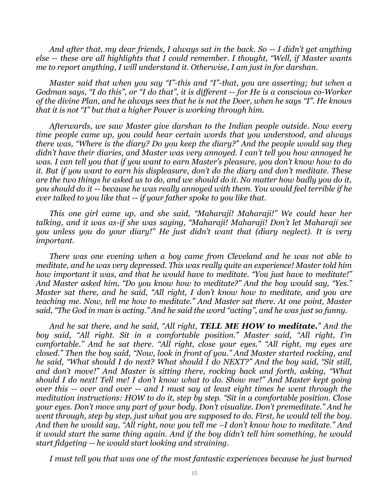*And after that, my dear friends, I always sat in the back. So -- I didn't get anything else -- these are all highlights that I could remember. I thought, "Well, if Master wants me to report anything, I will understand it. Otherwise, I am just in for darshan.*

*Master said that when you say "I"-this and "I"-that, you are asserting; but when a Godman says, "I do this", or "I do that", it is different -- for He is a conscious co-Worker of the divine Plan, and he always sees that he is not the Doer, when he says "I". He knows that it is not "I" but that a higher Power is working through him.*

*Afterwards, we saw Master give darshan to the Indian people outside. Now every time people came up, you could hear certain words that you understood, and always there was, "Where is the diary? Do you keep the diary?" And the people would say they didn't have their diaries, and Master was very annoyed. I can't tell you how annoyed he was. I can tell you that if you want to earn Master's pleasure, you don't know how to do it. But if you want to earn his displeasure, don't do the diary and don't meditate. These are the two things he asked us to do, and we should do it. No matter how badly you do it, you should do it -- because he was really annoyed with them. You would feel terrible if he ever talked to you like that -- if your father spoke to you like that.*

*This one girl came up, and she said, "Maharaji! Maharaji!" We could hear her talking, and it was as-if she was saying, "Maharaji! Maharaji! Don't let Maharaji see you unless you do your diary!" He just didn't want that (diary neglect). It is very important.*

*There was one evening when a boy came from Cleveland and he was not able to meditate, and he was very depressed. This was really quite an experience! Master told him how important it was, and that he would have to meditate. "You just have to meditate!" And Master asked him, "Do you know how to meditate?" And the boy would say, "Yes." Master sat there, and he said, "All right, I don't know how to meditate, and you are teaching me. Now, tell me how to meditate." And Master sat there. At one point, Master said, "The God in man is acting." And he said the word "acting", and he was just so funny.*

*And he sat there, and he said, "All right, TELL ME HOW to meditate." And the boy said, "All right. Sit in a comfortable position." Master said, "All right, I'm comfortable." And he sat there. "All right, close your eyes." "All right, my eyes are closed." Then the boy said, "Now, look in front of you." And Master started rocking, and he said, "What should I do next? What should I do NEXT?" And the boy said, "Sit still, and don't move!" And Master is sitting there, rocking back and forth, asking, "What should I do next! Tell me! I don't know what to do. Show me!" And Master kept going over this -- over and over -- and I must say at least eight times he went through the meditation instructions: HOW to do it, step by step. "Sit in a comfortable position. Close your eyes. Don't move any part of your body. Don't visualize. Don't premeditate." And he went through, step by step, just what you are supposed to do. First, he would tell the boy. And then he would say, "All right, now you tell me –I don't know how to meditate." And it would start the same thing again. And if the boy didn't tell him something, he would start fidgeting -- he would start looking and straining.*

*I must tell you that was one of the most fantastic experiences because he just burned*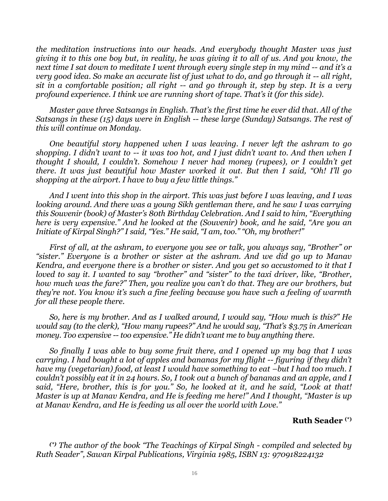*the meditation instructions into our heads. And everybody thought Master was just giving it to this one boy but, in reality, he was giving it to all of us. And you know, the next time I sat down to meditate I went through every single step in my mind -- and it's a very good idea. So make an accurate list of just what to do, and go through it -- all right, sit in a comfortable position; all right -- and go through it, step by step. It is a very profound experience. I think we are running short of tape. That's it (for this side).*

*Master gave three Satsangs in English. That's the first time he ever did that. All of the Satsangs in these (15) days were in English -- these large (Sunday) Satsangs. The rest of this will continue on Monday.*

*One beautiful story happened when I was leaving. I never left the ashram to go shopping. I didn't want to -- it was too hot, and I just didn't want to. And then when I thought I should, I couldn't. Somehow I never had money (rupees), or I couldn't get there. It was just beautiful how Master worked it out. But then I said, "Oh! I'll go shopping at the airport. I have to buy a few little things."*

*And I went into this shop in the airport. This was just before I was leaving, and I was looking around. And there was a young Sikh gentleman there, and he saw I was carrying this Souvenir (book) of Master's 80th Birthday Celebration. And I said to him, "Everything here is very expensive." And he looked at the (Souvenir) book, and he said, "Are you an Initiate of Kirpal Singh?" I said, "Yes." He said, "I am, too." "Oh, my brother!"*

*First of all, at the ashram, to everyone you see or talk, you always say, "Brother" or "sister." Everyone is a brother or sister at the ashram. And we did go up to Manav Kendra, and everyone there is a brother or sister. And you get so accustomed to it that I loved to say it. I wanted to say "brother" and "sister" to the taxi driver, like, "Brother, how much was the fare?" Then, you realize you can't do that. They are our brothers, but they're not. You know it's such a fine feeling because you have such a feeling of warmth for all these people there.*

*So, here is my brother. And as I walked around, I would say, "How much is this?" He would say (to the clerk), "How many rupees?" And he would say, "That's \$3.75 in American money. Too expensive -- too expensive." He didn't want me to buy anything there.*

*So finally I was able to buy some fruit there, and I opened up my bag that I was carrying. I had bought a lot of apples and bananas for my flight -- figuring if they didn't have my (vegetarian) food, at least I would have something to eat -but I had too much. I couldn't possibly eat it in 24 hours. So, I took out a bunch of bananas and an apple, and I said, "Here, brother, this is for you." So, he looked at it, and he said, "Look at that! Master is up at Manav Kendra, and He is feeding me here!" And I thought, "Master is up at Manav Kendra, and He is feeding us all over the world with Love."*

#### **Ruth Seader (\*)**

*(\*) The author of the book "The Teachings of Kirpal Singh - compiled and selected by Ruth Seader", Sawan Kirpal Publications, Virginia 1985, ISBN 13: 970918224132*